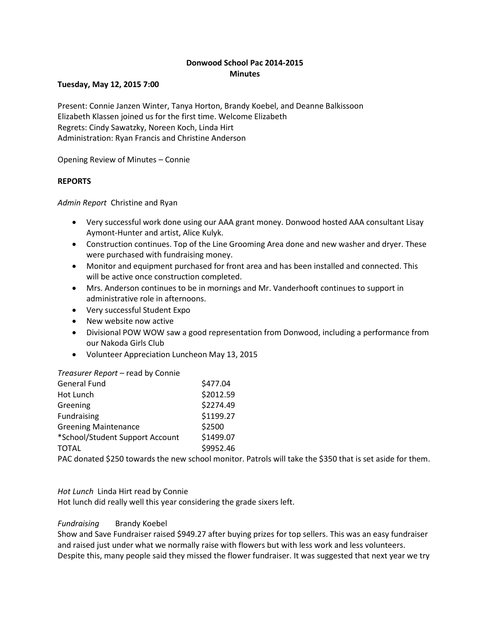# **Donwood School Pac 2014-2015 Minutes**

### **Tuesday, May 12, 2015 7:00**

Present: Connie Janzen Winter, Tanya Horton, Brandy Koebel, and Deanne Balkissoon Elizabeth Klassen joined us for the first time. Welcome Elizabeth Regrets: Cindy Sawatzky, Noreen Koch, Linda Hirt Administration: Ryan Francis and Christine Anderson

Opening Review of Minutes – Connie

## **REPORTS**

*Admin Report* Christine and Ryan

- Very successful work done using our AAA grant money. Donwood hosted AAA consultant Lisay Aymont-Hunter and artist, Alice Kulyk.
- Construction continues. Top of the Line Grooming Area done and new washer and dryer. These were purchased with fundraising money.
- Monitor and equipment purchased for front area and has been installed and connected. This will be active once construction completed.
- Mrs. Anderson continues to be in mornings and Mr. Vanderhooft continues to support in administrative role in afternoons.
- Very successful Student Expo
- New website now active
- Divisional POW WOW saw a good representation from Donwood, including a performance from our Nakoda Girls Club
- Volunteer Appreciation Luncheon May 13, 2015

*Treasurer Report* – read by Connie

| <b>General Fund</b>             | \$477.04  |
|---------------------------------|-----------|
| Hot Lunch                       | \$2012.59 |
| Greening                        | \$2274.49 |
| Fundraising                     | \$1199.27 |
| <b>Greening Maintenance</b>     | \$2500    |
| *School/Student Support Account | \$1499.07 |
| <b>TOTAL</b>                    | \$9952.46 |
|                                 |           |

PAC donated \$250 towards the new school monitor. Patrols will take the \$350 that is set aside for them.

*Hot Lunch* Linda Hirt read by Connie

Hot lunch did really well this year considering the grade sixers left.

### *Fundraising* Brandy Koebel

Show and Save Fundraiser raised \$949.27 after buying prizes for top sellers. This was an easy fundraiser and raised just under what we normally raise with flowers but with less work and less volunteers. Despite this, many people said they missed the flower fundraiser. It was suggested that next year we try